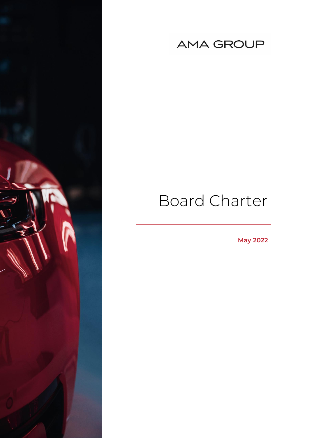

# **AMA GROUP**

# Board Charter

**May 2022**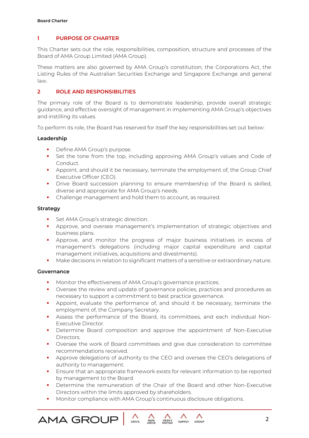# **1 PURPOSE OF CHARTER**

This Charter sets out the role, responsibilities, composition, structure and processes of the Board of AMA Group Limited (AMA Group).

These matters are also governed by AMA Group's constitution, the Corporations Act, the Listing Rules of the Australian Securities Exchange and Singapore Exchange and general law.

# **2 ROLE AND RESPONSIBILITIES**

The primary role of the Board is to demonstrate leadership, provide overall strategic guidance, and effective oversight of management in implementing AMA Group's objectives and instilling its values.

To perform its role, the Board has reserved for itself the key responsibilities set out below:

#### **Leadership**

- **•** Define AMA Group's purpose.
- Set the tone from the top, including approving AMA Group's values and Code of Conduct.
- Appoint, and should it be necessary, terminate the employment of, the Group Chief Executive Officer (CEO).
- **·** Drive Board succession planning to ensure membership of the Board is skilled, diverse and appropriate for AMA Group's needs.
- Challenge management and hold them to account, as required.

#### **Strategy**

- **•** Set AMA Group's strategic direction.
- Approve, and oversee management's implementation of strategic objectives and business plans.
- **.** Approve, and monitor the progress of major business initiatives in excess of management's delegations (including major capital expenditure and capital management initiatives, acquisitions and divestments).
- Make decisions in relation to significant matters of a sensitive or extraordinary nature.

# **Governance**

**AMA GROUF** 

- Monitor the effectiveness of AMA Group's governance practices.
- Oversee the review and update of governance policies, practices and procedures as necessary to support a commitment to best practice governance.
- **•** Appoint, evaluate the performance of, and should it be necessary, terminate the employment of, the Company Secretary.
- **EXEL Assess the performance of the Board, its committees, and each individual Non-**Executive Director.
- Determine Board composition and approve the appointment of Non-Executive Directors.
- Oversee the work of Board committees and give due consideration to committee recommendations received.
- Approve delegations of authority to the CEO and oversee the CEO's delegations of authority to management.
- **Ensure that an appropriate framework exists for relevant information to be reported** by management to the Board.
- Determine the remuneration of the Chair of the Board and other Non-Executive Directors within the limits approved by shareholders.

**HEAVY**<br>MOTOR

 $\wedge$ 

**SUPPLY** 

 $\wedge$ 

CROUP

Monitor compliance with AMA Group's continuous disclosure obligations.

DRIVE

NON<br>DRIVE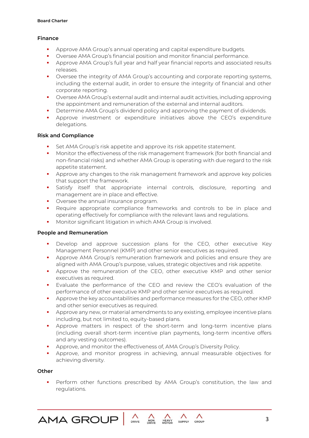# **Finance**

- Approve AMA Group's annual operating and capital expenditure budgets.
- Oversee AMA Group's financial position and monitor financial performance.
- **•** Approve AMA Group's full year and half year financial reports and associated results releases.
- Oversee the integrity of AMA Group's accounting and corporate reporting systems, including the external audit, in order to ensure the integrity of financial and other corporate reporting.
- Oversee AMA Group's external audit and internal audit activities, including approving the appointment and remuneration of the external and internal auditors.
- **•** Determine AMA Group's dividend policy and approving the payment of dividends.
- Approve investment or expenditure initiatives above the CEO's expenditure delegations.

#### **Risk and Compliance**

- Set AMA Group's risk appetite and approve its risk appetite statement.
- **•** Monitor the effectiveness of the risk management framework (for both financial and non-financial risks) and whether AMA Group is operating with due regard to the risk appetite statement.
- Approve any changes to the risk management framework and approve key policies that support the framework.
- Satisfy itself that appropriate internal controls, disclosure, reporting and management are in place and effective.
- **•** Oversee the annual insurance program.
- **•** Require appropriate compliance frameworks and controls to be in place and operating effectively for compliance with the relevant laws and regulations.
- Monitor significant litigation in which AMA Group is involved.

#### **People and Remuneration**

- Develop and approve succession plans for the CEO, other executive Key Management Personnel (KMP) and other senior executives as required.
- Approve AMA Group's remuneration framework and policies and ensure they are aligned with AMA Group's purpose, values, strategic objectives and risk appetite.
- **EXECT** Approve the remuneration of the CEO, other executive KMP and other senior executives as required.
- Evaluate the performance of the CEO and review the CEO's evaluation of the performance of other executive KMP and other senior executives as required.
- Approve the key accountabilities and performance measures for the CEO, other KMP and other senior executives as required.
- Approve any new, or material amendments to any existing, employee incentive plans including, but not limited to, equity-based plans.
- Approve matters in respect of the short-term and long-term incentive plans (including overall short-term incentive plan payments, long-term incentive offers and any vesting outcomes).
- Approve, and monitor the effectiveness of, AMA Group's Diversity Policy.
- Approve, and monitor progress in achieving, annual measurable objectives for achieving diversity.

#### **Other**

**•** Perform other functions prescribed by AMA Group's constitution, the law and regulations.

**HEAVY**<br>MOTOR

NON<br>DRIVE

DRIVE

 $\wedge$ 

**SUPPLY** 

 $\wedge$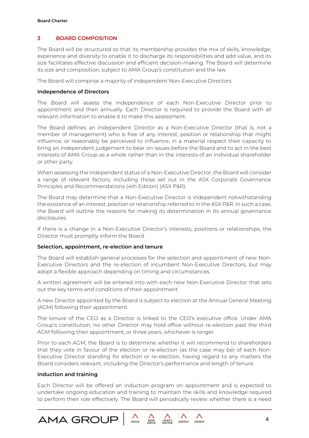# **3 BOARD COMPOSITION**

The Board will be structured so that its membership provides the mix of skills, knowledge, experience and diversity to enable it to discharge its responsibilities and add value, and its size facilitates effective discussion and efficient decision-making. The Board will determine its size and composition, subject to AMA Group's constitution and the law.

The Board will comprise a majority of independent Non-Executive Directors.

#### **Independence of Directors**

The Board will assess the independence of each Non-Executive Director prior to appointment and then annually. Each Director is required to provide the Board with all relevant information to enable it to make this assessment.

The Board defines an independent Director as a Non-Executive Director (that is, not a member of management) who is free of any interest, position or relationship that might influence, or reasonably be perceived to influence, in a material respect their capacity to bring an independent judgement to bear on issues before the Board and to act in the best interests of AMA Group as a whole rather than in the interests of an individual shareholder or other party.

When assessing the independent status of a Non-Executive Director, the Board will consider a range of relevant factors, including those set out in the ASX Corporate Governance Principles and Recommendations (4th Edition) (ASX P&R).

The Board may determine that a Non-Executive Director is independent notwithstanding the existence of an interest, position or relationship referred to in the ASX P&R. In such a case, the Board will outline the reasons for making its determination in its annual governance disclosures.

If there is a change in a Non-Executive Director's interests, positions or relationships, the Director must promptly inform the Board.

# **Selection, appointment, re-election and tenure**

The Board will establish general processes for the selection and appointment of new Non-Executive Directors and the re-election of incumbent Non-Executive Directors, but may adopt a flexible approach depending on timing and circumstances.

A written agreement will be entered into with each new Non-Executive Director that sets out the key terms and conditions of their appointment.

A new Director appointed by the Board is subject to election at the Annual General Meeting (AGM) following their appointment.

The tenure of the CEO as a Director is linked to the CEO's executive office. Under AMA Group's constitution, no other Director may hold office without re-election past the third AGM following their appointment, or three years, whichever is longer.

Prior to each AGM, the Board is to determine whether it will recommend to shareholders that they vote in favour of the election or re-election (as the case may be) of each Non-Executive Director standing for election or re-election, having regard to any matters the Board considers relevant, including the Director's performance and length of tenure.

#### **Induction and training**

**AMA GROL** 

Each Director will be offered an induction program on appointment and is expected to undertake ongoing education and training to maintain the skills and knowledge required to perform their role effectively. The Board will periodically review whether there is a need

NON<br>DRIVE

DRIVE

**HEAVY**<br>MOTOR

 $\wedge$ 

SUPPLY

 $\wedge$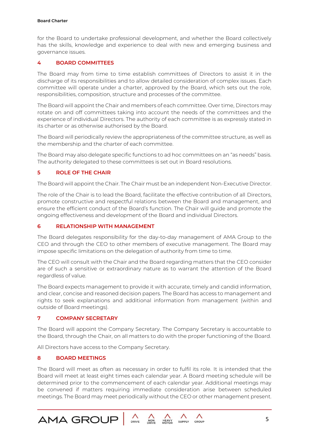#### **Board Charter**

for the Board to undertake professional development, and whether the Board collectively has the skills, knowledge and experience to deal with new and emerging business and governance issues.

# **4 BOARD COMMITTEES**

The Board may from time to time establish committees of Directors to assist it in the discharge of its responsibilities and to allow detailed consideration of complex issues. Each committee will operate under a charter, approved by the Board, which sets out the role, responsibilities, composition, structure and processes of the committee.

The Board will appoint the Chair and members of each committee. Over time, Directors may rotate on and off committees taking into account the needs of the committees and the experience of individual Directors. The authority of each committee is as expressly stated in its charter or as otherwise authorised by the Board.

The Board will periodically review the appropriateness of the committee structure, as well as the membership and the charter of each committee.

The Board may also delegate specific functions to ad hoc committees on an "as needs" basis. The authority delegated to these committees is set out in Board resolutions.

#### **5 ROLE OF THE CHAIR**

The Board will appoint the Chair. The Chair must be an independent Non-Executive Director.

The role of the Chair is to lead the Board, facilitate the effective contribution of all Directors, promote constructive and respectful relations between the Board and management, and ensure the efficient conduct of the Board's function. The Chair will guide and promote the ongoing effectiveness and development of the Board and individual Directors.

#### **6 RELATIONSHIP WITH MANAGEMENT**

The Board delegates responsibility for the day-to-day management of AMA Group to the CEO and through the CEO to other members of executive management. The Board may impose specific limitations on the delegation of authority from time to time.

The CEO will consult with the Chair and the Board regarding matters that the CEO consider are of such a sensitive or extraordinary nature as to warrant the attention of the Board regardless of value.

The Board expects management to provide it with accurate, timely and candid information, and clear, concise and reasoned decision papers. The Board has access to management and rights to seek explanations and additional information from management (within and outside of Board meetings).

#### **7 COMPANY SECRETARY**

The Board will appoint the Company Secretary. The Company Secretary is accountable to the Board, through the Chair, on all matters to do with the proper functioning of the Board.

All Directors have access to the Company Secretary.

#### **8 BOARD MEETINGS**

**AMA GROUR** 

The Board will meet as often as necessary in order to fulfil its role. It is intended that the Board will meet at least eight times each calendar year. A Board meeting schedule will be determined prior to the commencement of each calendar year. Additional meetings may be convened if matters requiring immediate consideration arise between scheduled meetings. The Board may meet periodically without the CEO or other management present.

NON<br>DRIVE

DRIVE

**HEAVY**<br>MOTOR

SUPPLY

 $\wedge$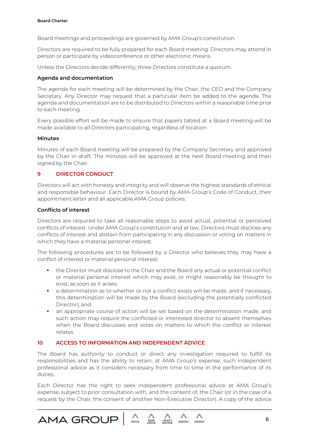Board meetings and proceedings are governed by AMA Group's constitution.

Directors are required to be fully prepared for each Board meeting. Directors may attend in person or participate by videoconference or other electronic means.

Unless the Directors decide differently, three Directors constitute a quorum.

#### **Agenda and documentation**

The agenda for each meeting will be determined by the Chair, the CEO and the Company Secretary. Any Director may request that a particular item be added to the agenda. The agenda and documentation are to be distributed to Directors within a reasonable time prior to each meeting.

Every possible effort will be made to ensure that papers tabled at a Board meeting will be made available to all Directors participating, regardless of location.

#### **Minutes**

Minutes of each Board meeting will be prepared by the Company Secretary and approved by the Chair in draft. The minutes will be approved at the next Board meeting and then signed by the Chair.

# **9 DIRECTOR CONDUCT**

**AMA GROUF** 

Directors will act with honesty and integrity and will observe the highest standards of ethical and responsible behaviour. Each Director is bound by AMA Group's Code of Conduct, their appointment letter and all applicable AMA Group policies.

#### **Conflicts of interest**

Directors are required to take all reasonable steps to avoid actual, potential or perceived conflicts of interest. Under AMA Group's constitution and at law, Directors must disclose any conflicts of interest and abstain from participating in any discussion or voting on matters in which they have a material personal interest.

The following procedures are to be followed by a Director who believes they may have a conflict of interest or material personal interest:

- the Director must disclose to the Chair and the Board any actual or potential conflict or material personal interest which may exist, or might reasonably be thought to exist, as soon as it arises;
- a determination as to whether or not a conflict exists will be made, and if necessary, this determination will be made by the Board (excluding the potentially conflicted Director); and
- an appropriate course of action will be set based on the determination made, and such action may require the conflicted or interested director to absent themselves when the Board discusses and votes on matters to which the conflict or interest relates.

# **10 ACCESS TO INFORMATION AND INDEPENDENT ADVICE**

The Board has authority to conduct or direct any investigation required to fulfill its responsibilities and has the ability to retain, at AMA Group's expense, such independent professional advice as it considers necessary from time to time in the performance of its duties.

Each Director has the right to seek independent professional advice at AMA Group's expense, subject to prior consultation with, and the consent of, the Chair (or in the case of a request by the Chair, the consent of another Non-Executive Director). A copy of the advice

NON<br>DRIVE

DRIVE

**HEAVY**<br>MOTOR

 $\wedge$ 

**SUPPLY** 

 $\wedge$